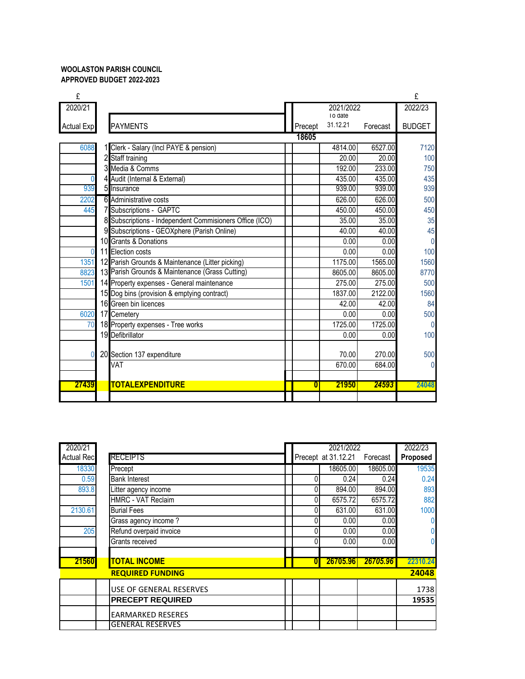## **WOOLASTON PARISH COUNCIL APPROVED BUDGET 2022-2023**

| £                 |                                                            |         |           |          | £              |
|-------------------|------------------------------------------------------------|---------|-----------|----------|----------------|
| 2020/21           |                                                            |         | 2021/2022 |          | 2022/23        |
|                   |                                                            |         | I o date  |          |                |
| <b>Actual Exp</b> | <b>PAYMENTS</b>                                            | Precept | 31.12.21  | Forecast | <b>BUDGET</b>  |
|                   |                                                            | 18605   |           |          |                |
| 6088              | Clerk - Salary (Incl PAYE & pension)                       |         | 4814.00   | 6527.00  | 7120           |
|                   | Staff training                                             |         | 20.00     | 20.00    | 100            |
|                   | Media & Comms                                              |         | 192.00    | 233.00   | 750            |
| $\Omega$          | 4 Audit (Internal & External)                              |         | 435.00    | 435.00   | 435            |
| 939               | Insurance                                                  |         | 939.00    | 939.00   | 939            |
| 2202              | 6 Administrative costs                                     |         | 626.00    | 626.00   | 500            |
| 445               | Subscriptions - GAPTC<br>7                                 |         | 450.00    | 450.00   | 450            |
|                   | Subscriptions - Independent Commisioners Office (ICO)<br>8 |         | 35.00     | 35.00    | 35             |
|                   | Subscriptions - GEOXphere (Parish Online)<br>9             |         | 40.00     | 40.00    | 45             |
|                   | 10 Grants & Donations                                      |         | 0.00      | 0.00     | $\overline{0}$ |
| $\mathbf{0}$      | 11 Election costs                                          |         | 0.00      | 0.00     | 100            |
| 1351              | 12 Parish Grounds & Maintenance (Litter picking)           |         | 1175.00   | 1565.00  | 1560           |
| 8823              | 13 Parish Grounds & Maintenance (Grass Cutting)            |         | 8605.00   | 8605.00  | 8770           |
| 1501              | 14 Property expenses - General maintenance                 |         | 275.00    | 275.00   | 500            |
|                   | 15 Dog bins (provision & emptying contract)                |         | 1837.00   | 2122.00  | 1560           |
|                   | 16 Green bin licences                                      |         | 42.00     | 42.00    | 84             |
| 6020              | 17 Cemetery                                                |         | 0.00      | 0.00     | 500            |
| 70                | 18 Property expenses - Tree works                          |         | 1725.00   | 1725.00  | $\Omega$       |
|                   | 19 Defibrillator                                           |         | 0.00      | 0.00     | 100            |
|                   |                                                            |         |           |          |                |
| $\Omega$          | 20 Section 137 expenditure                                 |         | 70.00     | 270.00   | 500            |
|                   | $\overline{\mathsf{V}}$ AT                                 |         | 670.00    | 684.00   | $\Omega$       |
|                   |                                                            |         |           |          |                |
| 27439             | <b>TOTALEXPENDITURE</b>                                    | 0       | 21950     | 24593    | 24048          |
|                   |                                                            |         |           |          |                |

| 2020/21           |                           | 2021/2022 |                     |          | 2022/23  |
|-------------------|---------------------------|-----------|---------------------|----------|----------|
| <b>Actual Rec</b> | <b>RECEIPTS</b>           |           | Precept at 31.12.21 | Forecast | Proposed |
| 18330             | Precept                   |           | 18605.00            | 18605.00 | 19535    |
| 0.59              | <b>Bank Interest</b>      |           | 0.24                | 0.24     | 0.24     |
| 893.8             | Litter agency income      | 0         | 894.00              | 894.00   | 893      |
|                   | <b>HMRC - VAT Reclaim</b> |           | 6575.72             | 6575.72  | 882      |
| 2130.61           | <b>Burial Fees</b>        |           | 631.00              | 631.00   | 1000     |
|                   | Grass agency income?      |           | 0.00                | 0.00     | 0        |
| 205               | Refund overpaid invoice   |           | 0.00                | 0.00     | 0        |
|                   | Grants received           |           | 0.00                | 0.00     | 0        |
|                   |                           |           |                     |          |          |
| 21560             | <b>TOTAL INCOME</b>       | $\bf{0}$  | 26705.96            | 26705.96 | 22310.24 |
|                   | <b>REQUIRED FUNDING</b>   |           |                     |          | 24048    |
|                   | USE OF GENERAL RESERVES   |           |                     |          | 1738     |
|                   | <b>PRECEPT REQUIRED</b>   |           |                     |          | 19535    |
|                   | <b>EARMARKED RESERES</b>  |           |                     |          |          |
|                   | <b>GENERAL RESERVES</b>   |           |                     |          |          |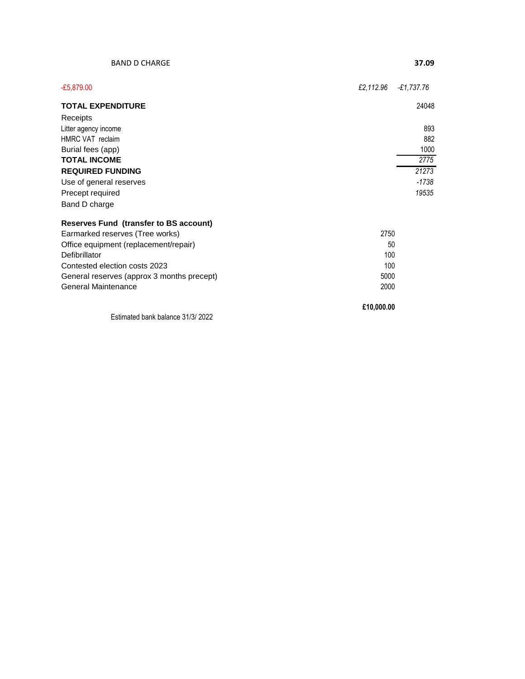| <b>BAND D CHARGE</b>                                                                                                                                                                                                                              |            | 37.09        |
|---------------------------------------------------------------------------------------------------------------------------------------------------------------------------------------------------------------------------------------------------|------------|--------------|
| $-£5,879.00$                                                                                                                                                                                                                                      | £2,112.96  | $-£1,737.76$ |
| <b>TOTAL EXPENDITURE</b>                                                                                                                                                                                                                          |            | 24048        |
| Receipts                                                                                                                                                                                                                                          |            |              |
| Litter agency income                                                                                                                                                                                                                              |            | 893          |
| HMRC VAT reclaim                                                                                                                                                                                                                                  |            | 882          |
| Burial fees (app)                                                                                                                                                                                                                                 |            | 1000         |
| <b>TOTAL INCOME</b>                                                                                                                                                                                                                               |            | 2775         |
| <b>REQUIRED FUNDING</b>                                                                                                                                                                                                                           |            | 21273        |
| Use of general reserves                                                                                                                                                                                                                           |            | $-1738$      |
| Precept required                                                                                                                                                                                                                                  |            | 19535        |
| Band D charge                                                                                                                                                                                                                                     |            |              |
| <b>Reserves Fund (transfer to BS account)</b>                                                                                                                                                                                                     |            |              |
| 2750<br>Earmarked reserves (Tree works)                                                                                                                                                                                                           |            |              |
| Office equipment (replacement/repair)                                                                                                                                                                                                             |            | 50           |
| Defibrillator                                                                                                                                                                                                                                     | 100        |              |
| 100<br>Contested election costs 2023                                                                                                                                                                                                              |            |              |
| General reserves (approx 3 months precept)                                                                                                                                                                                                        | 5000       |              |
| <b>General Maintenance</b>                                                                                                                                                                                                                        | 2000       |              |
|                                                                                                                                                                                                                                                   | £10,000.00 |              |
| $F - 1$ and $F - 1$ is the set of $F - 1$ and $F - 2$ and $F - 3$ and $F - 1$ and $F - 2$ and $F - 3$ and $F - 1$ and $F - 2$ and $F - 3$ and $F - 1$ and $F - 2$ and $F - 3$ and $F - 2$ and $F - 3$ and $F - 3$ and $F - 2$ and $F - 3$ and $F$ |            |              |

Estimated bank balance 31/3/ 2022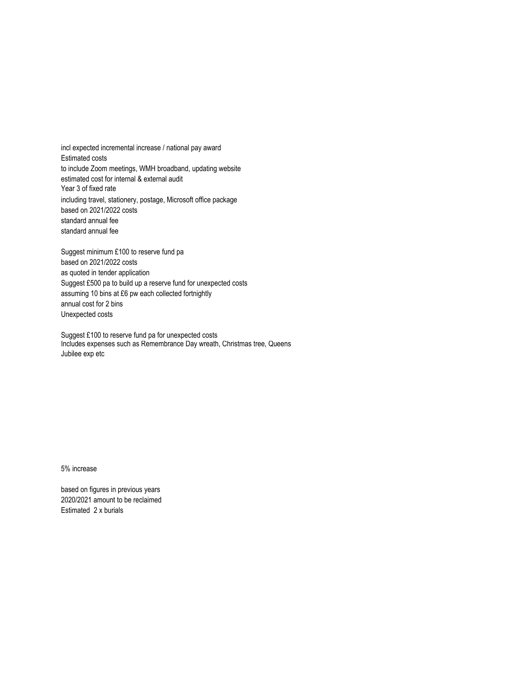incl expected incremental increase / national pay award Estimated costs to include Zoom meetings, WMH broadband, updating website estimated cost for internal & external audit Year 3 of fixed rate including travel, stationery, postage, Microsoft office package based on 2021/2022 costs standard annual fee standard annual fee

Suggest minimum £100 to reserve fund pa based on 2021/2022 costs as quoted in tender application Suggest £500 pa to build up a reserve fund for unexpected costs assuming 10 bins at £6 pw each collected fortnightly annual cost for 2 bins Unexpected costs

Suggest £100 to reserve fund pa for unexpected costs Includes expenses such as Remembrance Day wreath, Christmas tree, Queens Jubilee exp etc

5% increase

based on figures in previous years 2020/2021 amount to be reclaimed Estimated 2 x burials